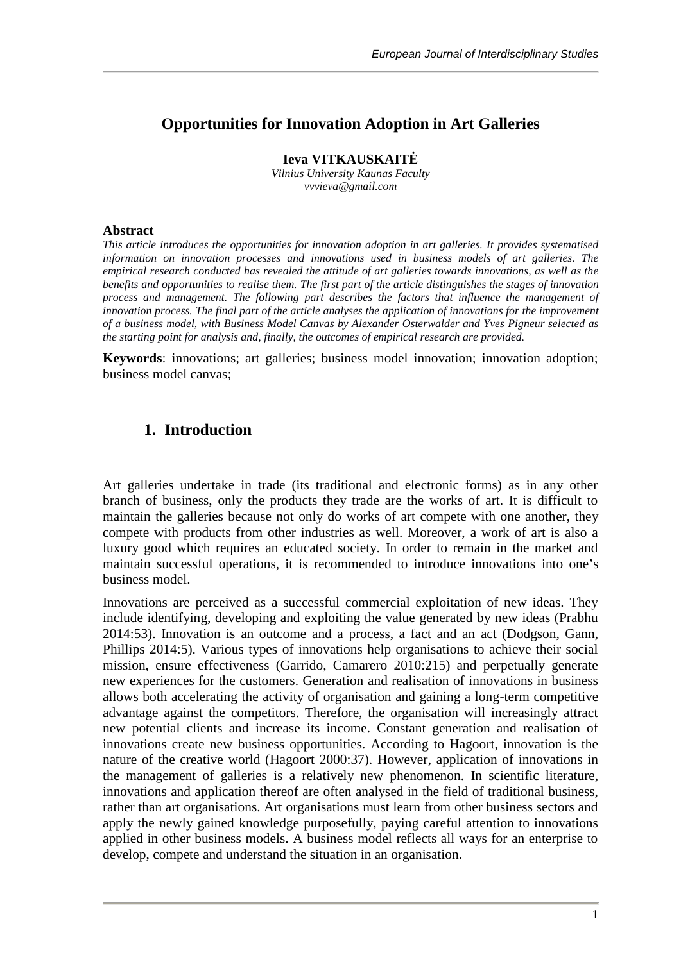## **Opportunities for Innovation Adoption in Art Galleries**

**Ieva VITKAUSKAIT** 

*Vilnius University Kaunas Faculty vvvieva@gmail.com*

#### **Abstract**

*This article introduces the opportunities for innovation adoption in art galleries. It provides systematised information on innovation processes and innovations used in business models of art galleries. The empirical research conducted has revealed the attitude of art galleries towards innovations, as well as the benefits and opportunities to realise them. The first part of the article distinguishes the stages of innovation process and management. The following part describes the factors that influence the management of innovation process. The final part of the article analyses the application of innovations for the improvement of a business model, with Business Model Canvas by Alexander Osterwalder and Yves Pigneur selected as the starting point for analysis and, finally, the outcomes of empirical research are provided.*

**Keywords**: innovations; art galleries; business model innovation; innovation adoption; business model canvas;

### **1. Introduction**

Art galleries undertake in trade (its traditional and electronic forms) as in any other branch of business, only the products they trade are the works of art. It is difficult to maintain the galleries because not only do works of art compete with one another, they compete with products from other industries as well. Moreover, a work of art is also a luxury good which requires an educated society. In order to remain in the market and maintain successful operations, it is recommended to introduce innovations into one's business model.

Innovations are perceived as a successful commercial exploitation of new ideas. They include identifying, developing and exploiting the value generated by new ideas (Prabhu 2014:53). Innovation is an outcome and a process, a fact and an act (Dodgson, Gann, Phillips 2014:5). Various types of innovations help organisations to achieve their social mission, ensure effectiveness (Garrido, Camarero 2010:215) and perpetually generate new experiences for the customers. Generation and realisation of innovations in business allows both accelerating the activity of organisation and gaining a long-term competitive advantage against the competitors. Therefore, the organisation will increasingly attract new potential clients and increase its income. Constant generation and realisation of innovations create new business opportunities. According to Hagoort, innovation is the nature of the creative world (Hagoort 2000:37). However, application of innovations in the management of galleries is a relatively new phenomenon. In scientific literature, innovations and application thereof are often analysed in the field of traditional business, rather than art organisations. Art organisations must learn from other business sectors and apply the newly gained knowledge purposefully, paying careful attention to innovations applied in other business models. A business model reflects all ways for an enterprise to develop, compete and understand the situation in an organisation.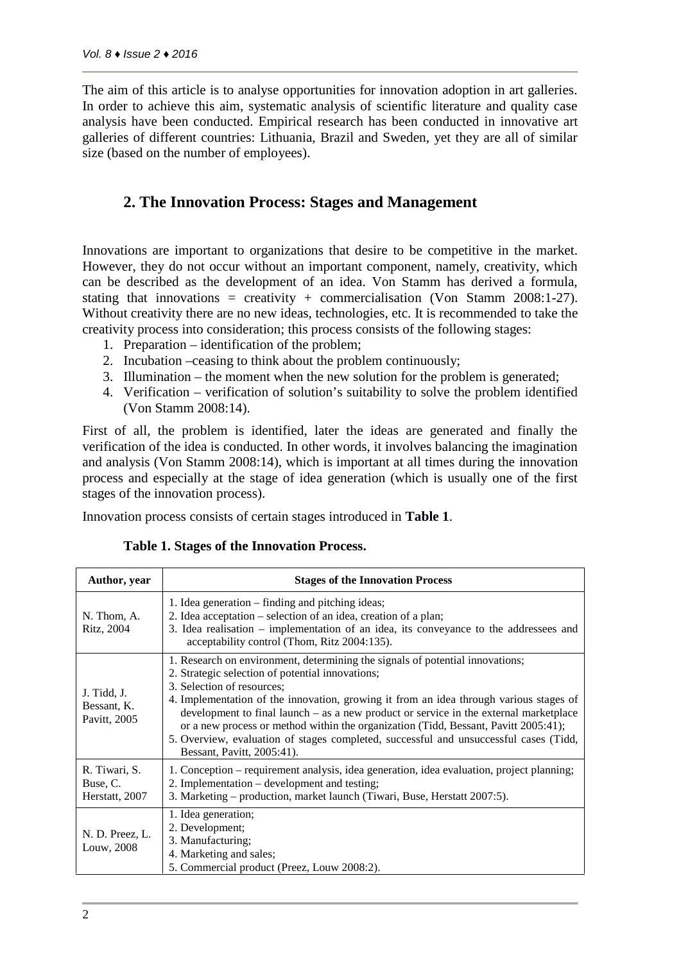The aim of this article is to analyse opportunities for innovation adoption in art galleries. In order to achieve this aim, systematic analysis of scientific literature and quality case analysis have been conducted. Empirical research has been conducted in innovative art galleries of different countries: Lithuania, Brazil and Sweden, yet they are all of similar size (based on the number of employees).

## **2. The Innovation Process: Stages and Management**

Innovations are important to organizations that desire to be competitive in the market. However, they do not occur without an important component, namely, creativity, which can be described as the development of an idea. Von Stamm has derived a formula, stating that innovations = creativity + commercialisation (Von Stamm 2008:1-27). Without creativity there are no new ideas, technologies, etc. It is recommended to take the creativity process into consideration; this process consists of the following stages:

- 1. Preparation identification of the problem;
- 2. Incubation –ceasing to think about the problem continuously;
- 3. Illumination the moment when the new solution for the problem is generated;
- 4. Verification verification of solution's suitability to solve the problem identified (Von Stamm 2008:14).

First of all, the problem is identified, later the ideas are generated and finally the verification of the idea is conducted. In other words, it involves balancing the imagination and analysis (Von Stamm 2008:14), which is important at all times during the innovation process and especially at the stage of idea generation (which is usually one of the first stages of the innovation process).

Innovation process consists of certain stages introduced in **Table 1**.

| Author, year                                | <b>Stages of the Innovation Process</b>                                                                                                                                                                                                                                                                                                                                                                                                                                                                                                                             |  |  |  |  |
|---------------------------------------------|---------------------------------------------------------------------------------------------------------------------------------------------------------------------------------------------------------------------------------------------------------------------------------------------------------------------------------------------------------------------------------------------------------------------------------------------------------------------------------------------------------------------------------------------------------------------|--|--|--|--|
| N. Thom, A.<br>Ritz, 2004                   | 1. Idea generation – finding and pitching ideas;<br>2. Idea acceptation – selection of an idea, creation of a plan;<br>3. Idea realisation – implementation of an idea, its conveyance to the addressees and<br>acceptability control (Thom, Ritz 2004:135).                                                                                                                                                                                                                                                                                                        |  |  |  |  |
| J. Tidd, J.<br>Bessant, K.<br>Pavitt, 2005  | 1. Research on environment, determining the signals of potential innovations;<br>2. Strategic selection of potential innovations;<br>3. Selection of resources;<br>4. Implementation of the innovation, growing it from an idea through various stages of<br>development to final launch $-$ as a new product or service in the external market place<br>or a new process or method within the organization (Tidd, Bessant, Pavitt 2005:41);<br>5. Overview, evaluation of stages completed, successful and unsuccessful cases (Tidd,<br>Bessant, Pavitt, 2005:41). |  |  |  |  |
| R. Tiwari, S.<br>Buse, C.<br>Herstatt, 2007 | 1. Conception – requirement analysis, idea generation, idea evaluation, project planning;<br>2. Implementation – development and testing;<br>3. Marketing – production, market launch (Tiwari, Buse, Herstatt 2007:5).                                                                                                                                                                                                                                                                                                                                              |  |  |  |  |
| N. D. Preez, L.<br>Louw, 2008               | 1. Idea generation;<br>2. Development;<br>3. Manufacturing;<br>4. Marketing and sales;<br>5. Commercial product (Preez, Louw 2008:2).                                                                                                                                                                                                                                                                                                                                                                                                                               |  |  |  |  |

### **Table 1. Stages of the Innovation Process.**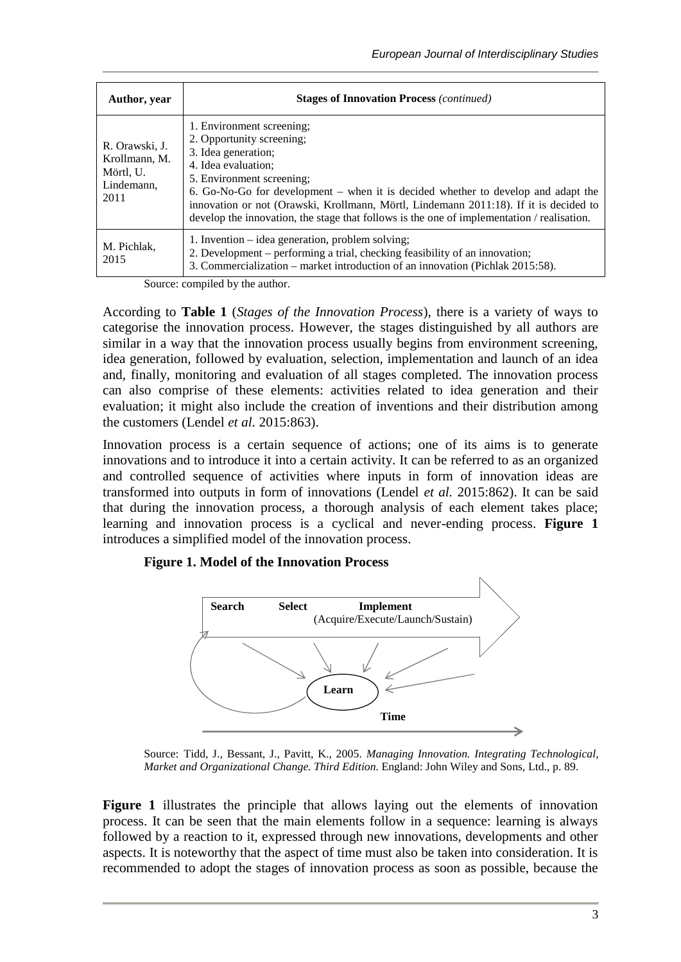| Author, year                                                       | <b>Stages of Innovation Process (continued)</b>                                                                                                                                                                                                                                                                                                                                                               |  |  |  |  |
|--------------------------------------------------------------------|---------------------------------------------------------------------------------------------------------------------------------------------------------------------------------------------------------------------------------------------------------------------------------------------------------------------------------------------------------------------------------------------------------------|--|--|--|--|
| R. Orawski, J.<br>Krollmann, M.<br>Mörtl, U.<br>Lindemann,<br>2011 | 1. Environment screening;<br>2. Opportunity screening;<br>3. Idea generation;<br>4. Idea evaluation:<br>5. Environment screening:<br>6. Go-No-Go for development – when it is decided whether to develop and adapt the<br>innovation or not (Orawski, Krollmann, Mörtl, Lindemann 2011:18). If it is decided to<br>develop the innovation, the stage that follows is the one of implementation / realisation. |  |  |  |  |
| M. Pichlak,<br>2015                                                | 1. Invention – idea generation, problem solving;<br>2. Development – performing a trial, checking feasibility of an innovation;<br>3. Commercialization – market introduction of an innovation (Pichlak 2015:58).                                                                                                                                                                                             |  |  |  |  |

Source: compiled by the author.

According to **Table 1** (*Stages of the Innovation Process*), there is a variety of ways to categorise the innovation process. However, the stages distinguished by all authors are similar in a way that the innovation process usually begins from environment screening, idea generation, followed by evaluation, selection, implementation and launch of an idea and, finally, monitoring and evaluation of all stages completed. The innovation process can also comprise of these elements: activities related to idea generation and their evaluation; it might also include the creation of inventions and their distribution among the customers (Lendel *et al.* 2015:863).

Innovation process is a certain sequence of actions; one of its aims is to generate innovations and to introduce it into a certain activity. It can be referred to as an organized and controlled sequence of activities where inputs in form of innovation ideas are transformed into outputs in form of innovations (Lendel *et al.* 2015:862). It can be said that during the innovation process, a thorough analysis of each element takes place; learning and innovation process is a cyclical and never-ending process. **Figure 1** introduces a simplified model of the innovation process.

### **Figure 1. Model of the Innovation Process**



Source: Tidd, J., Bessant, J., Pavitt, K., 2005. *Managing Innovation. Integrating Technological, Market and Organizational Change. Third Edition.* England: John Wiley and Sons, Ltd., p. 89.

**Figure 1** illustrates the principle that allows laying out the elements of innovation process. It can be seen that the main elements follow in a sequence: learning is always followed by a reaction to it, expressed through new innovations, developments and other aspects. It is noteworthy that the aspect of time must also be taken into consideration. It is recommended to adopt the stages of innovation process as soon as possible, because the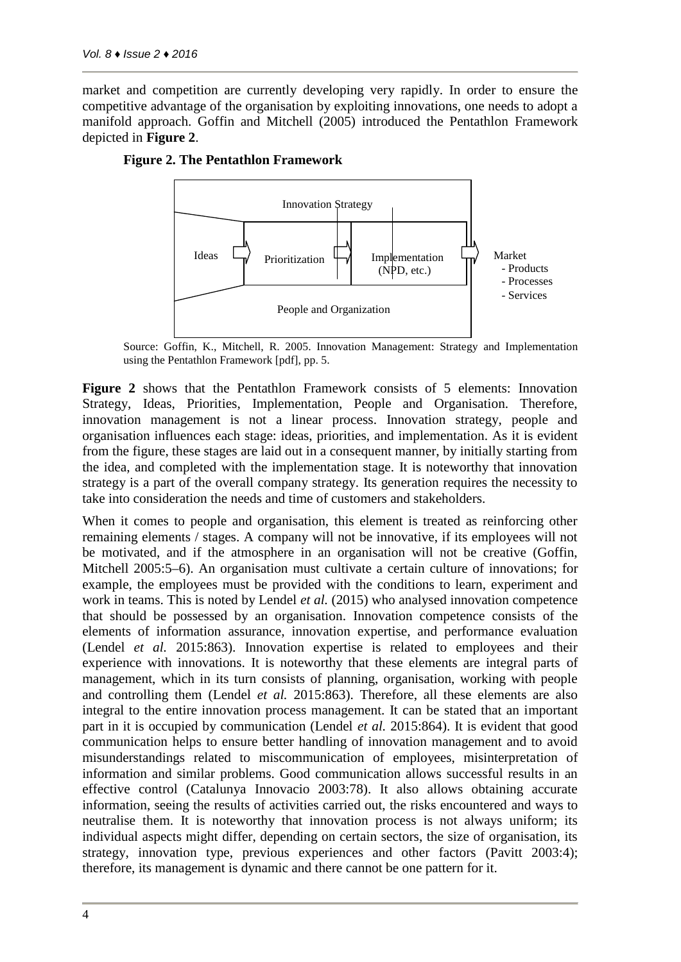market and competition are currently developing very rapidly. In order to ensure the competitive advantage of the organisation by exploiting innovations, one needs to adopt a manifold approach. Goffin and Mitchell (2005) introduced the Pentathlon Framework depicted in **Figure 2**.



#### **Figure 2. The Pentathlon Framework**

Source: Goffin, K., Mitchell, R. 2005. Innovation Management: Strategy and Implementation using the Pentathlon Framework [pdf], pp. 5.

**Figure 2** shows that the Pentathlon Framework consists of 5 elements: Innovation Strategy, Ideas, Priorities, Implementation, People and Organisation. Therefore, innovation management is not a linear process. Innovation strategy, people and organisation influences each stage: ideas, priorities, and implementation. As it is evident from the figure, these stages are laid out in a consequent manner, by initially starting from the idea, and completed with the implementation stage. It is noteworthy that innovation strategy is a part of the overall company strategy. Its generation requires the necessity to take into consideration the needs and time of customers and stakeholders.

When it comes to people and organisation, this element is treated as reinforcing other remaining elements / stages. A company will not be innovative, if its employees will not be motivated, and if the atmosphere in an organisation will not be creative (Goffin, Mitchell 2005:5–6). An organisation must cultivate a certain culture of innovations; for example, the employees must be provided with the conditions to learn, experiment and work in teams. This is noted by Lendel *et al.* (2015) who analysed innovation competence that should be possessed by an organisation. Innovation competence consists of the elements of information assurance, innovation expertise, and performance evaluation (Lendel *et al.* 2015:863). Innovation expertise is related to employees and their experience with innovations. It is noteworthy that these elements are integral parts of management, which in its turn consists of planning, organisation, working with people and controlling them (Lendel *et al.* 2015:863). Therefore, all these elements are also integral to the entire innovation process management. It can be stated that an important part in it is occupied by communication (Lendel *et al.* 2015:864). It is evident that good communication helps to ensure better handling of innovation management and to avoid misunderstandings related to miscommunication of employees, misinterpretation of information and similar problems. Good communication allows successful results in an effective control (Catalunya Innovacio 2003:78). It also allows obtaining accurate information, seeing the results of activities carried out, the risks encountered and ways to neutralise them. It is noteworthy that innovation process is not always uniform; its individual aspects might differ, depending on certain sectors, the size of organisation, its strategy, innovation type, previous experiences and other factors (Pavitt 2003:4); therefore, its management is dynamic and there cannot be one pattern for it.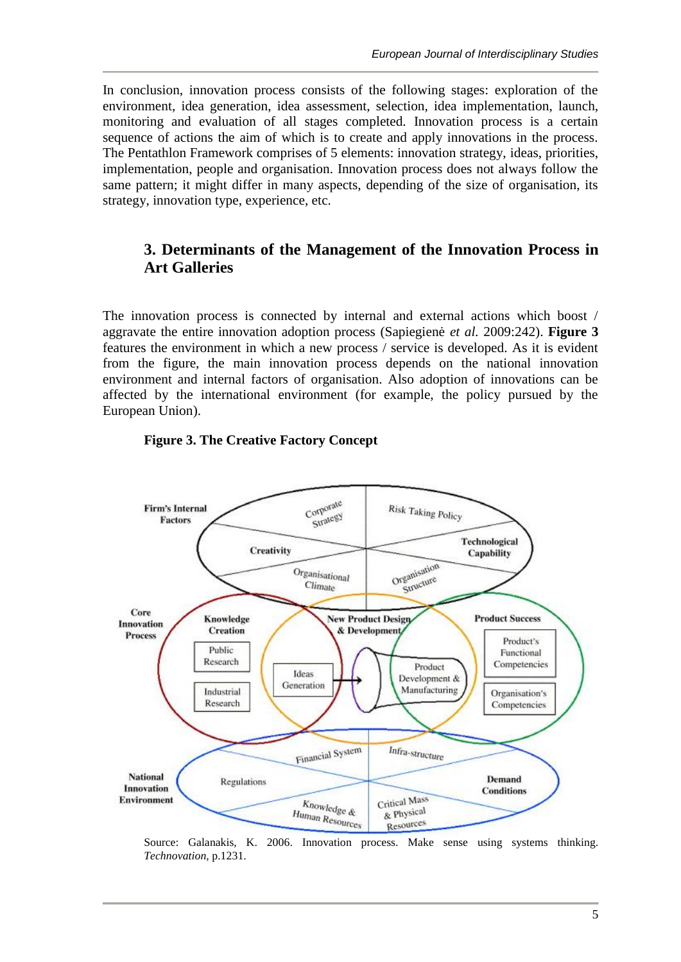In conclusion, innovation process consists of the following stages: exploration of the environment, idea generation, idea assessment, selection, idea implementation, launch, monitoring and evaluation of all stages completed. Innovation process is a certain sequence of actions the aim of which is to create and apply innovations in the process. The Pentathlon Framework comprises of 5 elements: innovation strategy, ideas, priorities, implementation, people and organisation. Innovation process does not always follow the same pattern; it might differ in many aspects, depending of the size of organisation, its strategy, innovation type, experience, etc.

# **3. Determinants of the Management of the Innovation Process in Art Galleries**

The innovation process is connected by internal and external actions which boost / aggravate the entire innovation adoption process (Sapiegienė *et al.* 2009:242). **Figure 3** features the environment in which a new process / service is developed. As it is evident from the figure, the main innovation process depends on the national innovation environment and internal factors of organisation. Also adoption of innovations can be affected by the international environment (for example, the policy pursued by the European Union).



### **Figure 3. The Creative Factory Concept**

Source: Galanakis, K. 2006. Innovation process. Make sense using systems thinking. *Technovation,* p.1231.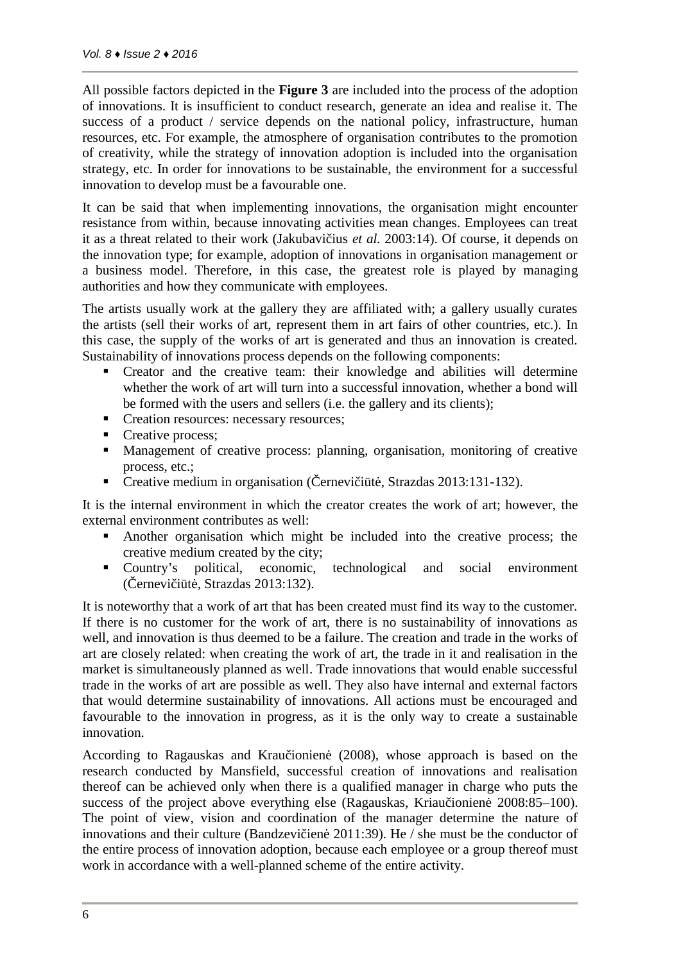All possible factors depicted in the **Figure 3** are included into the process of the adoption of innovations. It is insufficient to conduct research, generate an idea and realise it. The success of a product / service depends on the national policy, infrastructure, human resources, etc. For example, the atmosphere of organisation contributes to the promotion of creativity, while the strategy of innovation adoption is included into the organisation strategy, etc. In order for innovations to be sustainable, the environment for a successful innovation to develop must be a favourable one.

It can be said that when implementing innovations, the organisation might encounter resistance from within, because innovating activities mean changes. Employees can treat it as a threat related to their work (Jakubavi ius *et al.* 2003:14). Of course, it depends on the innovation type; for example, adoption of innovations in organisation management or a business model. Therefore, in this case, the greatest role is played by managing authorities and how they communicate with employees.

The artists usually work at the gallery they are affiliated with; a gallery usually curates the artists (sell their works of art, represent them in art fairs of other countries, etc.). In this case, the supply of the works of art is generated and thus an innovation is created. Sustainability of innovations process depends on the following components:

- Creator and the creative team: their knowledge and abilities will determine whether the work of art will turn into a successful innovation, whether a bond will be formed with the users and sellers (i.e. the gallery and its clients);
- Creation resources: necessary resources;
- Creative process;
- Management of creative process: planning, organisation, monitoring of creative process, etc.;
- Creative medium in organisation (ernevi i t, Strazdas 2013:131-132).

It is the internal environment in which the creator creates the work of art; however, the external environment contributes as well:

- Another organisation which might be included into the creative process; the creative medium created by the city;
- Country's political, economic, technological and social environment  $($  ernevi i t, Strazdas 2013:132).

It is noteworthy that a work of art that has been created must find its way to the customer. If there is no customer for the work of art, there is no sustainability of innovations as well, and innovation is thus deemed to be a failure. The creation and trade in the works of art are closely related: when creating the work of art, the trade in it and realisation in the market is simultaneously planned as well. Trade innovations that would enable successful trade in the works of art are possible as well. They also have internal and external factors that would determine sustainability of innovations. All actions must be encouraged and favourable to the innovation in progress, as it is the only way to create a sustainable innovation.

According to Ragauskas and Krau ionien (2008), whose approach is based on the research conducted by Mansfield, successful creation of innovations and realisation thereof can be achieved only when there is a qualified manager in charge who puts the success of the project above everything else (Ragauskas, Kriau ionien 2008:85–100). The point of view, vision and coordination of the manager determine the nature of innovations and their culture (Bandzevi ien  $2011:39$ ). He / she must be the conductor of the entire process of innovation adoption, because each employee or a group thereof must work in accordance with a well-planned scheme of the entire activity.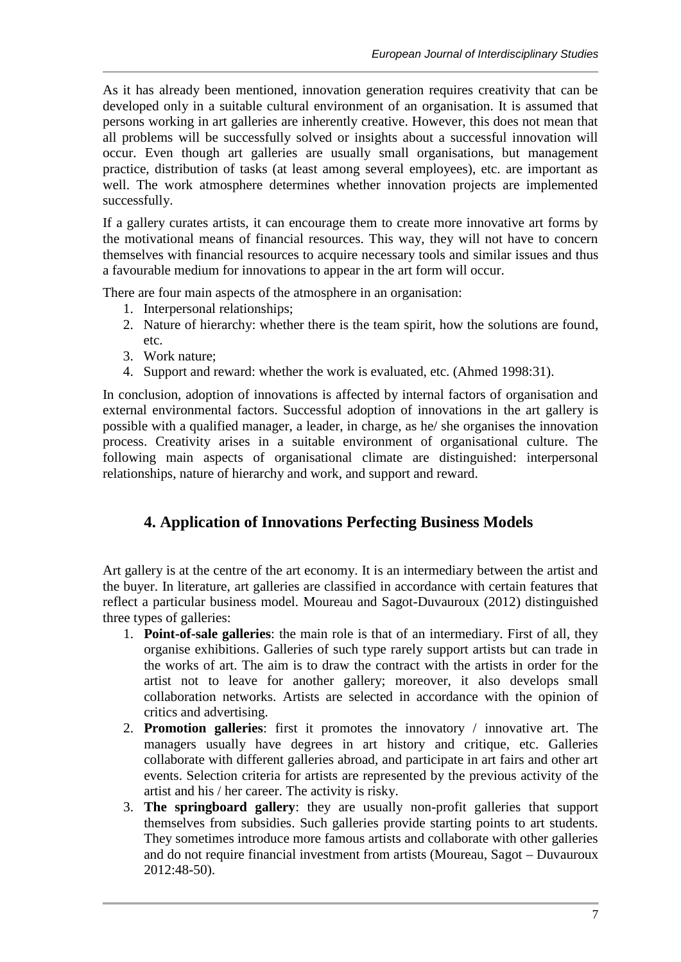As it has already been mentioned, innovation generation requires creativity that can be developed only in a suitable cultural environment of an organisation. It is assumed that persons working in art galleries are inherently creative. However, this does not mean that all problems will be successfully solved or insights about a successful innovation will occur. Even though art galleries are usually small organisations, but management practice, distribution of tasks (at least among several employees), etc. are important as well. The work atmosphere determines whether innovation projects are implemented successfully.

If a gallery curates artists, it can encourage them to create more innovative art forms by the motivational means of financial resources. This way, they will not have to concern themselves with financial resources to acquire necessary tools and similar issues and thus a favourable medium for innovations to appear in the art form will occur.

There are four main aspects of the atmosphere in an organisation:

- 1. Interpersonal relationships;
- 2. Nature of hierarchy: whether there is the team spirit, how the solutions are found, etc.
- 3. Work nature;
- 4. Support and reward: whether the work is evaluated, etc. (Ahmed 1998:31).

In conclusion, adoption of innovations is affected by internal factors of organisation and external environmental factors. Successful adoption of innovations in the art gallery is possible with a qualified manager, a leader, in charge, as he/ she organises the innovation process. Creativity arises in a suitable environment of organisational culture. The following main aspects of organisational climate are distinguished: interpersonal relationships, nature of hierarchy and work, and support and reward.

# **4. Application of Innovations Perfecting Business Models**

Art gallery is at the centre of the art economy. It is an intermediary between the artist and the buyer. In literature, art galleries are classified in accordance with certain features that reflect a particular business model. Moureau and Sagot-Duvauroux (2012) distinguished three types of galleries:

- 1. **Point-of-sale galleries**: the main role is that of an intermediary. First of all, they organise exhibitions. Galleries of such type rarely support artists but can trade in the works of art. The aim is to draw the contract with the artists in order for the artist not to leave for another gallery; moreover, it also develops small collaboration networks. Artists are selected in accordance with the opinion of critics and advertising.
- 2. **Promotion galleries**: first it promotes the innovatory / innovative art. The managers usually have degrees in art history and critique, etc. Galleries collaborate with different galleries abroad, and participate in art fairs and other art events. Selection criteria for artists are represented by the previous activity of the artist and his / her career. The activity is risky.
- 3. **The springboard gallery**: they are usually non-profit galleries that support themselves from subsidies. Such galleries provide starting points to art students. They sometimes introduce more famous artists and collaborate with other galleries and do not require financial investment from artists (Moureau, Sagot – Duvauroux 2012:48-50).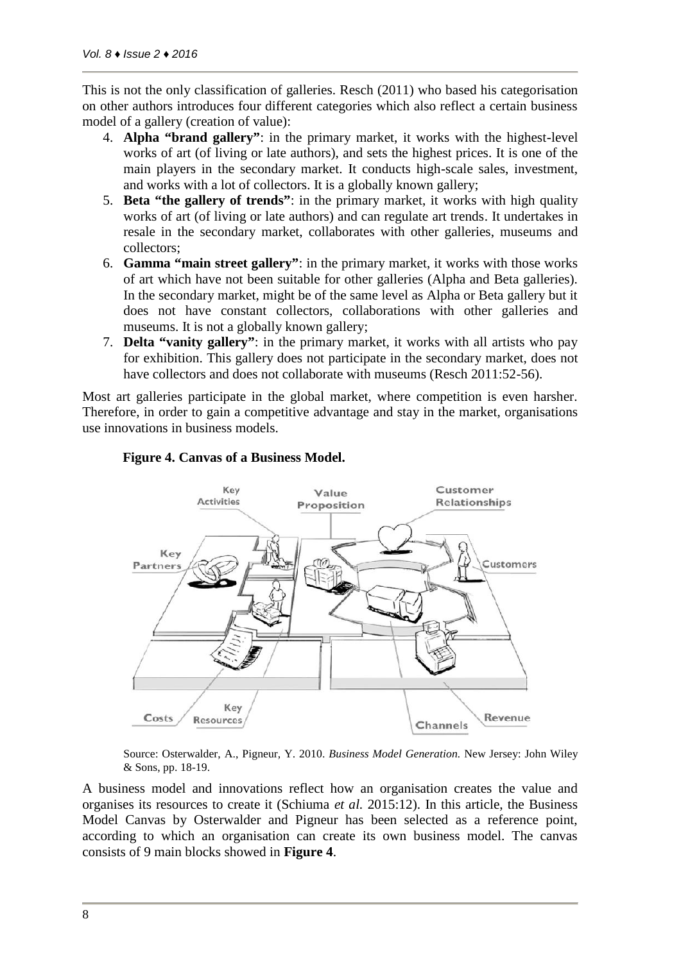This is not the only classification of galleries. Resch (2011) who based his categorisation on other authors introduces four different categories which also reflect a certain business model of a gallery (creation of value):

- 4. **Alpha "brand gallery"**: in the primary market, it works with the highest-level works of art (of living or late authors), and sets the highest prices. It is one of the main players in the secondary market. It conducts high-scale sales, investment, and works with a lot of collectors. It is a globally known gallery;
- 5. **Beta "the gallery of trends"**: in the primary market, it works with high quality works of art (of living or late authors) and can regulate art trends. It undertakes in resale in the secondary market, collaborates with other galleries, museums and collectors;
- 6. **Gamma "main street gallery"**: in the primary market, it works with those works of art which have not been suitable for other galleries (Alpha and Beta galleries). In the secondary market, might be of the same level as Alpha or Beta gallery but it does not have constant collectors, collaborations with other galleries and museums. It is not a globally known gallery;
- 7. **Delta "vanity gallery"**: in the primary market, it works with all artists who pay for exhibition. This gallery does not participate in the secondary market, does not have collectors and does not collaborate with museums (Resch 2011:52-56).

Most art galleries participate in the global market, where competition is even harsher. Therefore, in order to gain a competitive advantage and stay in the market, organisations use innovations in business models.



#### **Figure 4. Canvas of a Business Model.**

Source: Osterwalder, A., Pigneur, Y. 2010. *Business Model Generation.* New Jersey: John Wiley & Sons, pp. 18-19.

A business model and innovations reflect how an organisation creates the value and organises its resources to create it (Schiuma *et al.* 2015:12). In this article, the Business Model Canvas by Osterwalder and Pigneur has been selected as a reference point, according to which an organisation can create its own business model. The canvas consists of 9 main blocks showed in **Figure 4**.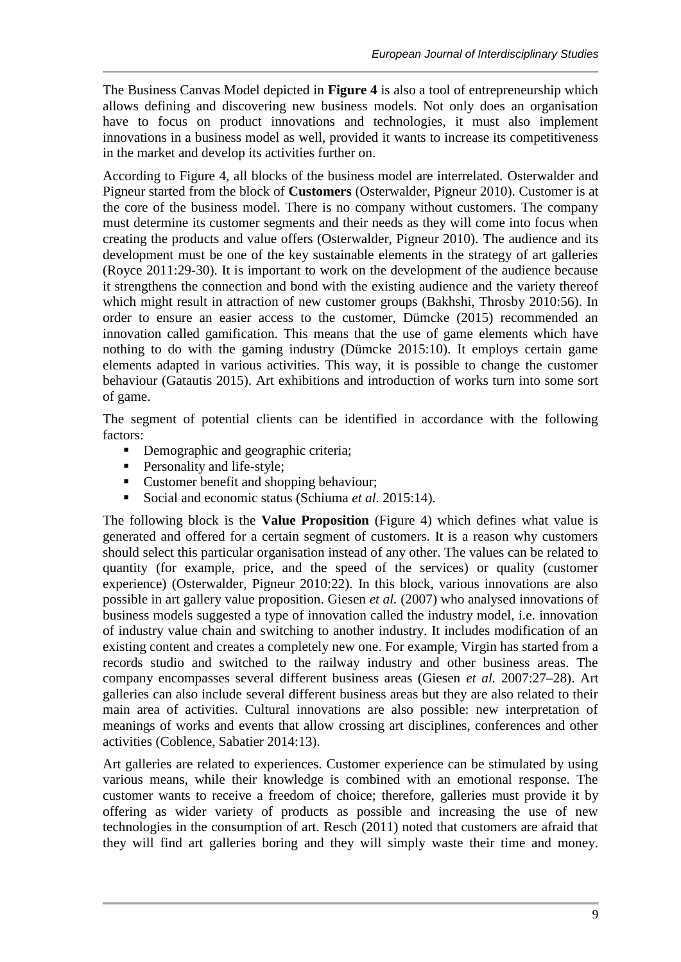The Business Canvas Model depicted in **Figure 4** is also a tool of entrepreneurship which allows defining and discovering new business models. Not only does an organisation have to focus on product innovations and technologies, it must also implement innovations in a business model as well, provided it wants to increase its competitiveness in the market and develop its activities further on.

According to Figure 4, all blocks of the business model are interrelated. Osterwalder and Pigneur started from the block of **Customers** (Osterwalder, Pigneur 2010). Customer is at the core of the business model. There is no company without customers. The company must determine its customer segments and their needs as they will come into focus when creating the products and value offers (Osterwalder, Pigneur 2010). The audience and its development must be one of the key sustainable elements in the strategy of art galleries (Royce 2011:29-30). It is important to work on the development of the audience because it strengthens the connection and bond with the existing audience and the variety thereof which might result in attraction of new customer groups (Bakhshi, Throsby 2010:56). In order to ensure an easier access to the customer, Dümcke (2015) recommended an innovation called gamification. This means that the use of game elements which have nothing to do with the gaming industry (Dümcke 2015:10). It employs certain game elements adapted in various activities. This way, it is possible to change the customer behaviour (Gatautis 2015). Art exhibitions and introduction of works turn into some sort of game.

The segment of potential clients can be identified in accordance with the following factors:

- Demographic and geographic criteria;
- Personality and life-style;
- Customer benefit and shopping behaviour;
- Social and economic status (Schiuma *et al.* 2015:14).

The following block is the **Value Proposition** (Figure 4) which defines what value is generated and offered for a certain segment of customers. It is a reason why customers should select this particular organisation instead of any other. The values can be related to quantity (for example, price, and the speed of the services) or quality (customer experience) (Osterwalder, Pigneur 2010:22). In this block, various innovations are also possible in art gallery value proposition. Giesen *et al.* (2007) who analysed innovations of business models suggested a type of innovation called the industry model, i.e. innovation of industry value chain and switching to another industry. It includes modification of an existing content and creates a completely new one. For example, Virgin has started from a records studio and switched to the railway industry and other business areas. The company encompasses several different business areas (Giesen *et al.* 2007:27–28). Art galleries can also include several different business areas but they are also related to their main area of activities. Cultural innovations are also possible: new interpretation of meanings of works and events that allow crossing art disciplines, conferences and other activities (Coblence, Sabatier 2014:13).

Art galleries are related to experiences. Customer experience can be stimulated by using various means, while their knowledge is combined with an emotional response. The customer wants to receive a freedom of choice; therefore, galleries must provide it by offering as wider variety of products as possible and increasing the use of new technologies in the consumption of art. Resch (2011) noted that customers are afraid that they will find art galleries boring and they will simply waste their time and money.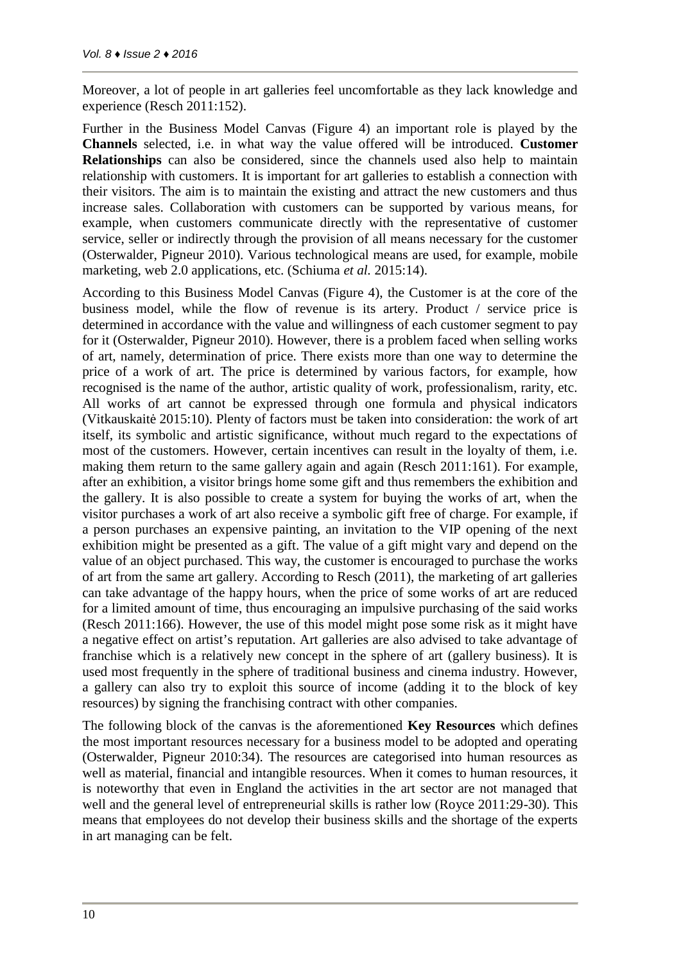Moreover, a lot of people in art galleries feel uncomfortable as they lack knowledge and experience (Resch 2011:152).

Further in the Business Model Canvas (Figure 4) an important role is played by the **Channels** selected, i.e. in what way the value offered will be introduced. **Customer Relationships** can also be considered, since the channels used also help to maintain relationship with customers. It is important for art galleries to establish a connection with their visitors. The aim is to maintain the existing and attract the new customers and thus increase sales. Collaboration with customers can be supported by various means, for example, when customers communicate directly with the representative of customer service, seller or indirectly through the provision of all means necessary for the customer (Osterwalder, Pigneur 2010). Various technological means are used, for example, mobile marketing, web 2.0 applications, etc. (Schiuma *et al.* 2015:14).

According to this Business Model Canvas (Figure 4), the Customer is at the core of the business model, while the flow of revenue is its artery. Product / service price is determined in accordance with the value and willingness of each customer segment to pay for it (Osterwalder, Pigneur 2010). However, there is a problem faced when selling works of art, namely, determination of price. There exists more than one way to determine the price of a work of art. The price is determined by various factors, for example, how recognised is the name of the author, artistic quality of work, professionalism, rarity, etc. All works of art cannot be expressed through one formula and physical indicators (Vitkauskaitė 2015:10). Plenty of factors must be taken into consideration: the work of art itself, its symbolic and artistic significance, without much regard to the expectations of most of the customers. However, certain incentives can result in the loyalty of them, i.e. making them return to the same gallery again and again (Resch 2011:161). For example, after an exhibition, a visitor brings home some gift and thus remembers the exhibition and the gallery. It is also possible to create a system for buying the works of art, when the visitor purchases a work of art also receive a symbolic gift free of charge. For example, if a person purchases an expensive painting, an invitation to the VIP opening of the next exhibition might be presented as a gift. The value of a gift might vary and depend on the value of an object purchased. This way, the customer is encouraged to purchase the works of art from the same art gallery. According to Resch (2011), the marketing of art galleries can take advantage of the happy hours, when the price of some works of art are reduced for a limited amount of time, thus encouraging an impulsive purchasing of the said works (Resch 2011:166). However, the use of this model might pose some risk as it might have a negative effect on artist's reputation. Art galleries are also advised to take advantage of franchise which is a relatively new concept in the sphere of art (gallery business). It is used most frequently in the sphere of traditional business and cinema industry. However, a gallery can also try to exploit this source of income (adding it to the block of key resources) by signing the franchising contract with other companies.

The following block of the canvas is the aforementioned **Key Resources** which defines the most important resources necessary for a business model to be adopted and operating (Osterwalder, Pigneur 2010:34). The resources are categorised into human resources as well as material, financial and intangible resources. When it comes to human resources, it is noteworthy that even in England the activities in the art sector are not managed that well and the general level of entrepreneurial skills is rather low (Royce 2011:29-30). This means that employees do not develop their business skills and the shortage of the experts in art managing can be felt.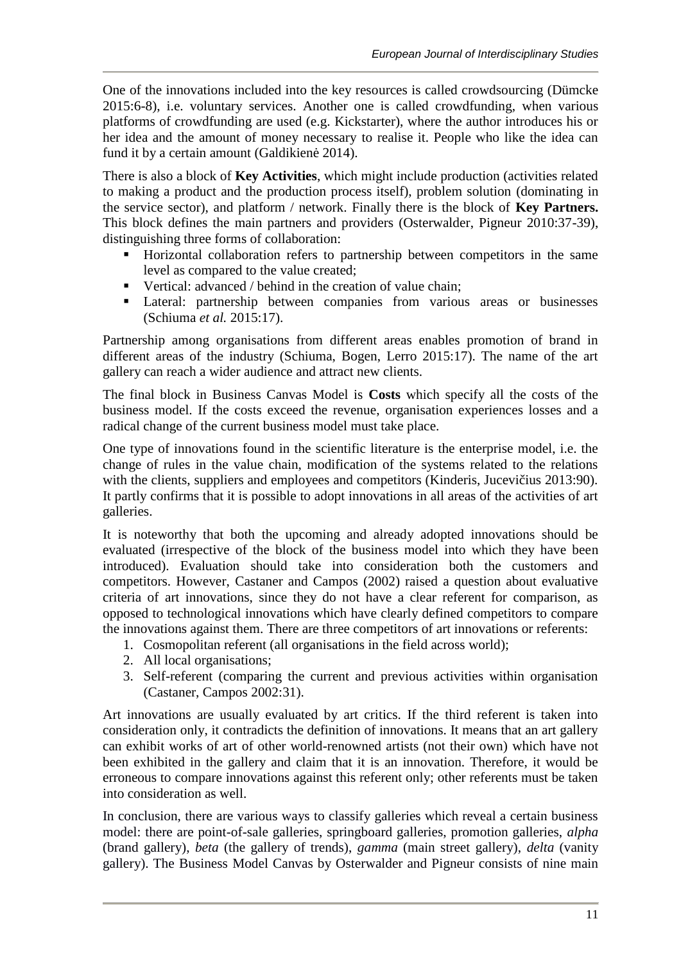One of the innovations included into the key resources is called crowdsourcing (Dümcke 2015:6-8), i.e. voluntary services. Another one is called crowdfunding, when various platforms of crowdfunding are used (e.g. Kickstarter), where the author introduces his or her idea and the amount of money necessary to realise it. People who like the idea can fund it by a certain amount (Galdikien 2014).

There is also a block of **Key Activities**, which might include production (activities related to making a product and the production process itself), problem solution (dominating in the service sector), and platform / network. Finally there is the block of **Key Partners.** This block defines the main partners and providers (Osterwalder, Pigneur 2010:37-39), distinguishing three forms of collaboration:

- Horizontal collaboration refers to partnership between competitors in the same level as compared to the value created;
- Vertical: advanced / behind in the creation of value chain;
- Lateral: partnership between companies from various areas or businesses (Schiuma *et al.* 2015:17).

Partnership among organisations from different areas enables promotion of brand in different areas of the industry (Schiuma, Bogen, Lerro 2015:17). The name of the art gallery can reach a wider audience and attract new clients.

The final block in Business Canvas Model is **Costs** which specify all the costs of the business model. If the costs exceed the revenue, organisation experiences losses and a radical change of the current business model must take place.

One type of innovations found in the scientific literature is the enterprise model, i.e. the change of rules in the value chain, modification of the systems related to the relations with the clients, suppliers and employees and competitors (Kinderis, Jucevi ius 2013:90). It partly confirms that it is possible to adopt innovations in all areas of the activities of art galleries.

It is noteworthy that both the upcoming and already adopted innovations should be evaluated (irrespective of the block of the business model into which they have been introduced). Evaluation should take into consideration both the customers and competitors. However, Castaner and Campos (2002) raised a question about evaluative criteria of art innovations, since they do not have a clear referent for comparison, as opposed to technological innovations which have clearly defined competitors to compare the innovations against them. There are three competitors of art innovations or referents:

- 1. Cosmopolitan referent (all organisations in the field across world);
- 2. All local organisations;
- 3. Self-referent (comparing the current and previous activities within organisation (Castaner, Campos 2002:31).

Art innovations are usually evaluated by art critics. If the third referent is taken into consideration only, it contradicts the definition of innovations. It means that an art gallery can exhibit works of art of other world-renowned artists (not their own) which have not been exhibited in the gallery and claim that it is an innovation. Therefore, it would be erroneous to compare innovations against this referent only; other referents must be taken into consideration as well.

In conclusion, there are various ways to classify galleries which reveal a certain business model: there are point-of-sale galleries, springboard galleries, promotion galleries, *alpha* (brand gallery), *beta* (the gallery of trends), *gamma* (main street gallery), *delta* (vanity gallery). The Business Model Canvas by Osterwalder and Pigneur consists of nine main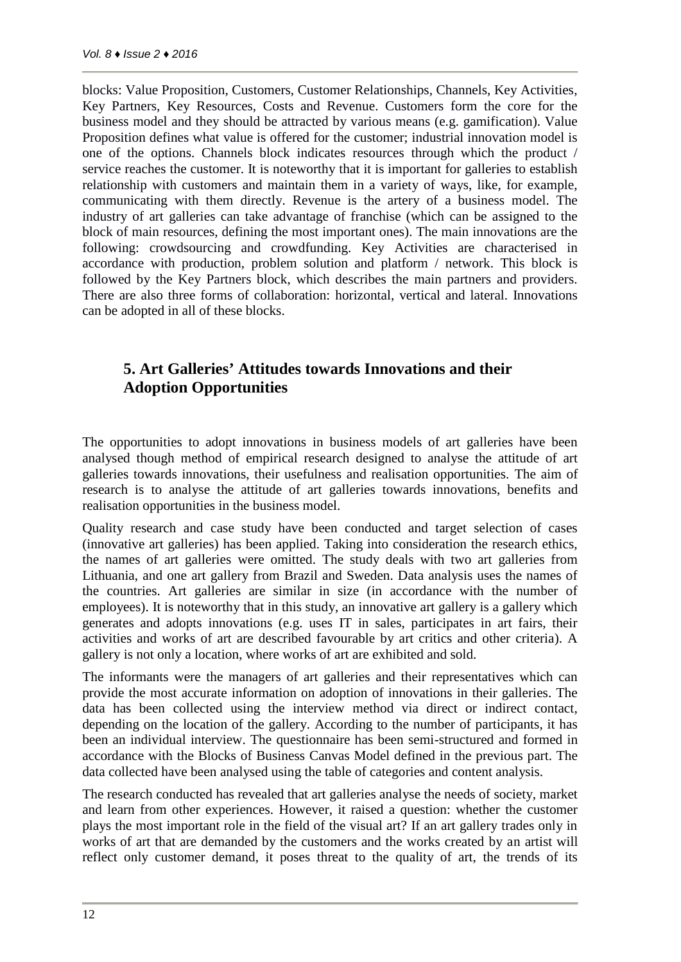blocks: Value Proposition, Customers, Customer Relationships, Channels, Key Activities, Key Partners, Key Resources, Costs and Revenue. Customers form the core for the business model and they should be attracted by various means (e.g. gamification). Value Proposition defines what value is offered for the customer; industrial innovation model is one of the options. Channels block indicates resources through which the product / service reaches the customer. It is noteworthy that it is important for galleries to establish relationship with customers and maintain them in a variety of ways, like, for example, communicating with them directly. Revenue is the artery of a business model. The industry of art galleries can take advantage of franchise (which can be assigned to the block of main resources, defining the most important ones). The main innovations are the following: crowdsourcing and crowdfunding. Key Activities are characterised in accordance with production, problem solution and platform / network. This block is followed by the Key Partners block, which describes the main partners and providers. There are also three forms of collaboration: horizontal, vertical and lateral. Innovations can be adopted in all of these blocks.

# **5. Art Galleries' Attitudes towards Innovations and their Adoption Opportunities**

The opportunities to adopt innovations in business models of art galleries have been analysed though method of empirical research designed to analyse the attitude of art galleries towards innovations, their usefulness and realisation opportunities. The aim of research is to analyse the attitude of art galleries towards innovations, benefits and realisation opportunities in the business model.

Quality research and case study have been conducted and target selection of cases (innovative art galleries) has been applied. Taking into consideration the research ethics, the names of art galleries were omitted. The study deals with two art galleries from Lithuania, and one art gallery from Brazil and Sweden. Data analysis uses the names of the countries. Art galleries are similar in size (in accordance with the number of employees). It is noteworthy that in this study, an innovative art gallery is a gallery which generates and adopts innovations (e.g. uses IT in sales, participates in art fairs, their activities and works of art are described favourable by art critics and other criteria). A gallery is not only a location, where works of art are exhibited and sold.

The informants were the managers of art galleries and their representatives which can provide the most accurate information on adoption of innovations in their galleries. The data has been collected using the interview method via direct or indirect contact, depending on the location of the gallery. According to the number of participants, it has been an individual interview. The questionnaire has been semi-structured and formed in accordance with the Blocks of Business Canvas Model defined in the previous part. The data collected have been analysed using the table of categories and content analysis.

The research conducted has revealed that art galleries analyse the needs of society, market and learn from other experiences. However, it raised a question: whether the customer plays the most important role in the field of the visual art? If an art gallery trades only in works of art that are demanded by the customers and the works created by an artist will reflect only customer demand, it poses threat to the quality of art, the trends of its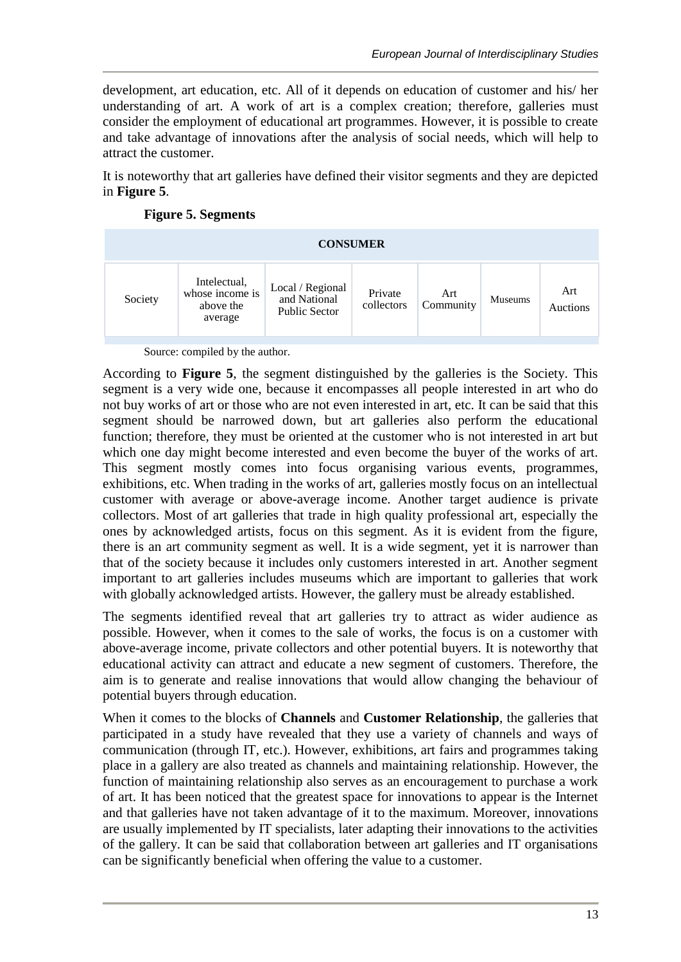development, art education, etc. All of it depends on education of customer and his/ her understanding of art. A work of art is a complex creation; therefore, galleries must consider the employment of educational art programmes. However, it is possible to create and take advantage of innovations after the analysis of social needs, which will help to attract the customer.

It is noteworthy that art galleries have defined their visitor segments and they are depicted in **Figure 5**.

|  | <b>Figure 5. Segments</b> |  |
|--|---------------------------|--|
|--|---------------------------|--|

| <b>CONSUMER</b> |                                                         |                                                          |                       |                  |                |                 |  |  |  |
|-----------------|---------------------------------------------------------|----------------------------------------------------------|-----------------------|------------------|----------------|-----------------|--|--|--|
| Society         | Intelectual,<br>whose income is<br>above the<br>average | Local / Regional<br>and National<br><b>Public Sector</b> | Private<br>collectors | Art<br>Community | <b>Museums</b> | Art<br>Auctions |  |  |  |

Source: compiled by the author.

According to **Figure 5**, the segment distinguished by the galleries is the Society. This segment is a very wide one, because it encompasses all people interested in art who do not buy works of art or those who are not even interested in art, etc. It can be said that this segment should be narrowed down, but art galleries also perform the educational function; therefore, they must be oriented at the customer who is not interested in art but which one day might become interested and even become the buyer of the works of art. This segment mostly comes into focus organising various events, programmes, exhibitions, etc. When trading in the works of art, galleries mostly focus on an intellectual customer with average or above-average income. Another target audience is private collectors. Most of art galleries that trade in high quality professional art, especially the ones by acknowledged artists, focus on this segment. As it is evident from the figure, there is an art community segment as well. It is a wide segment, yet it is narrower than that of the society because it includes only customers interested in art. Another segment important to art galleries includes museums which are important to galleries that work with globally acknowledged artists. However, the gallery must be already established.

The segments identified reveal that art galleries try to attract as wider audience as possible. However, when it comes to the sale of works, the focus is on a customer with above-average income, private collectors and other potential buyers. It is noteworthy that educational activity can attract and educate a new segment of customers. Therefore, the aim is to generate and realise innovations that would allow changing the behaviour of potential buyers through education.

When it comes to the blocks of **Channels** and **Customer Relationship**, the galleries that participated in a study have revealed that they use a variety of channels and ways of communication (through IT, etc.). However, exhibitions, art fairs and programmes taking place in a gallery are also treated as channels and maintaining relationship. However, the function of maintaining relationship also serves as an encouragement to purchase a work of art. It has been noticed that the greatest space for innovations to appear is the Internet and that galleries have not taken advantage of it to the maximum. Moreover, innovations are usually implemented by IT specialists, later adapting their innovations to the activities of the gallery. It can be said that collaboration between art galleries and IT organisations can be significantly beneficial when offering the value to a customer.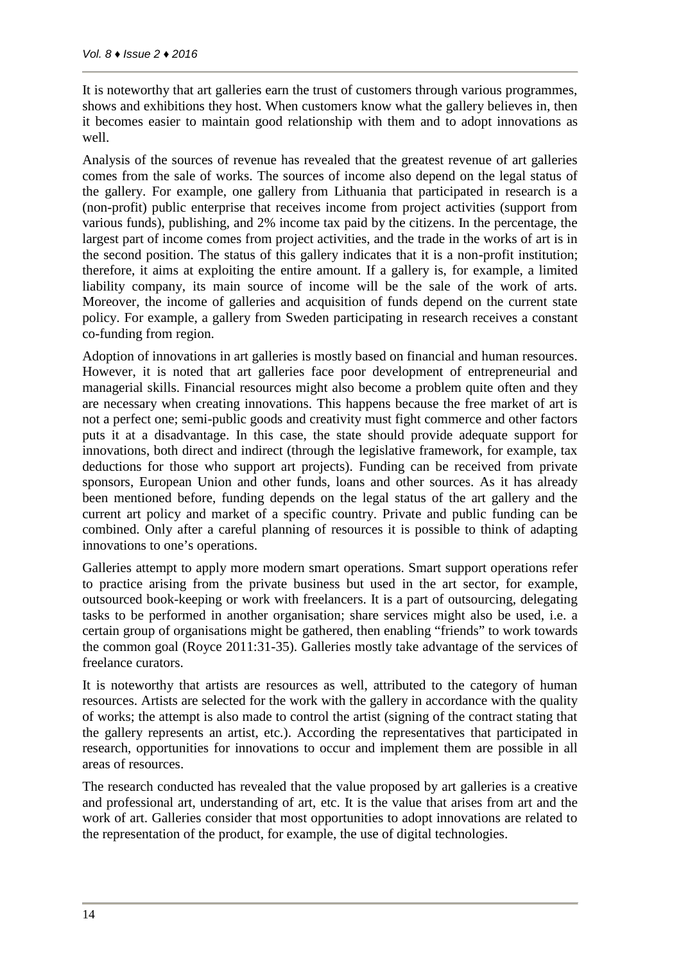It is noteworthy that art galleries earn the trust of customers through various programmes, shows and exhibitions they host. When customers know what the gallery believes in, then it becomes easier to maintain good relationship with them and to adopt innovations as well.

Analysis of the sources of revenue has revealed that the greatest revenue of art galleries comes from the sale of works. The sources of income also depend on the legal status of the gallery. For example, one gallery from Lithuania that participated in research is a (non-profit) public enterprise that receives income from project activities (support from various funds), publishing, and 2% income tax paid by the citizens. In the percentage, the largest part of income comes from project activities, and the trade in the works of art is in the second position. The status of this gallery indicates that it is a non-profit institution; therefore, it aims at exploiting the entire amount. If a gallery is, for example, a limited liability company, its main source of income will be the sale of the work of arts. Moreover, the income of galleries and acquisition of funds depend on the current state policy. For example, a gallery from Sweden participating in research receives a constant co-funding from region.

Adoption of innovations in art galleries is mostly based on financial and human resources. However, it is noted that art galleries face poor development of entrepreneurial and managerial skills. Financial resources might also become a problem quite often and they are necessary when creating innovations. This happens because the free market of art is not a perfect one; semi-public goods and creativity must fight commerce and other factors puts it at a disadvantage. In this case, the state should provide adequate support for innovations, both direct and indirect (through the legislative framework, for example, tax deductions for those who support art projects). Funding can be received from private sponsors, European Union and other funds, loans and other sources. As it has already been mentioned before, funding depends on the legal status of the art gallery and the current art policy and market of a specific country. Private and public funding can be combined. Only after a careful planning of resources it is possible to think of adapting innovations to one's operations.

Galleries attempt to apply more modern smart operations. Smart support operations refer to practice arising from the private business but used in the art sector, for example, outsourced book-keeping or work with freelancers. It is a part of outsourcing, delegating tasks to be performed in another organisation; share services might also be used, i.e. a certain group of organisations might be gathered, then enabling "friends" to work towards the common goal (Royce 2011:31-35). Galleries mostly take advantage of the services of freelance curators.

It is noteworthy that artists are resources as well, attributed to the category of human resources. Artists are selected for the work with the gallery in accordance with the quality of works; the attempt is also made to control the artist (signing of the contract stating that the gallery represents an artist, etc.). According the representatives that participated in research, opportunities for innovations to occur and implement them are possible in all areas of resources.

The research conducted has revealed that the value proposed by art galleries is a creative and professional art, understanding of art, etc. It is the value that arises from art and the work of art. Galleries consider that most opportunities to adopt innovations are related to the representation of the product, for example, the use of digital technologies.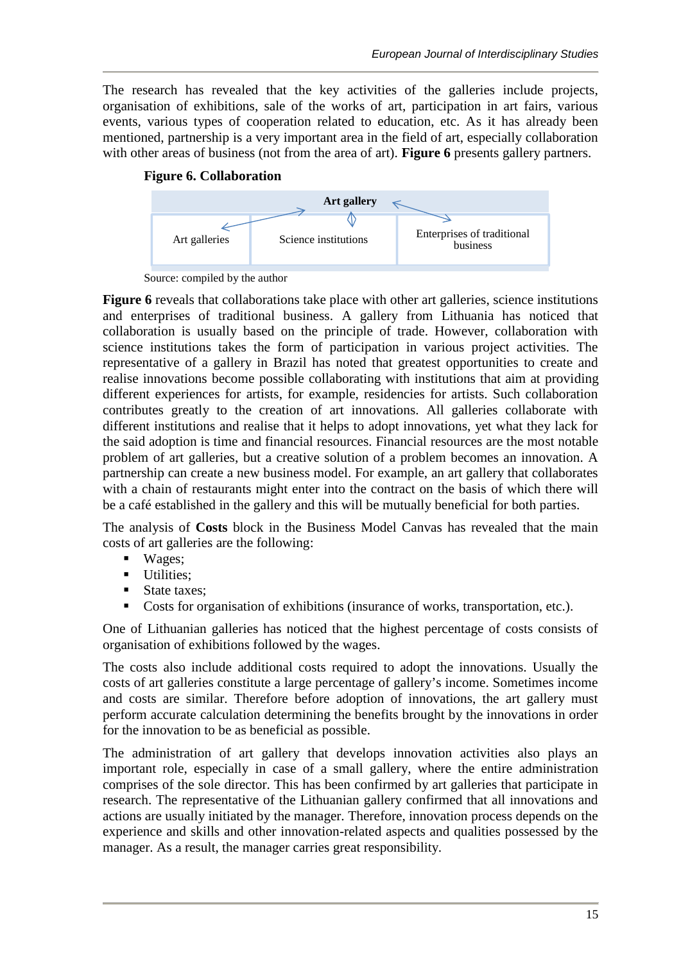The research has revealed that the key activities of the galleries include projects, organisation of exhibitions, sale of the works of art, participation in art fairs, various events, various types of cooperation related to education, etc. As it has already been mentioned, partnership is a very important area in the field of art, especially collaboration with other areas of business (not from the area of art). **Figure 6** presents gallery partners.





Source: compiled by the author

**Figure 6** reveals that collaborations take place with other art galleries, science institutions and enterprises of traditional business. A gallery from Lithuania has noticed that collaboration is usually based on the principle of trade. However, collaboration with science institutions takes the form of participation in various project activities. The representative of a gallery in Brazil has noted that greatest opportunities to create and realise innovations become possible collaborating with institutions that aim at providing different experiences for artists, for example, residencies for artists. Such collaboration contributes greatly to the creation of art innovations. All galleries collaborate with different institutions and realise that it helps to adopt innovations, yet what they lack for the said adoption is time and financial resources. Financial resources are the most notable problem of art galleries, but a creative solution of a problem becomes an innovation. A partnership can create a new business model. For example, an art gallery that collaborates with a chain of restaurants might enter into the contract on the basis of which there will be a café established in the gallery and this will be mutually beneficial for both parties.

The analysis of **Costs** block in the Business Model Canvas has revealed that the main costs of art galleries are the following:

- Wages;
- **Utilities:**
- State taxes;
- Costs for organisation of exhibitions (insurance of works, transportation, etc.).

One of Lithuanian galleries has noticed that the highest percentage of costs consists of organisation of exhibitions followed by the wages.

The costs also include additional costs required to adopt the innovations. Usually the costs of art galleries constitute a large percentage of gallery's income. Sometimes income and costs are similar. Therefore before adoption of innovations, the art gallery must perform accurate calculation determining the benefits brought by the innovations in order for the innovation to be as beneficial as possible.

The administration of art gallery that develops innovation activities also plays an important role, especially in case of a small gallery, where the entire administration comprises of the sole director. This has been confirmed by art galleries that participate in research. The representative of the Lithuanian gallery confirmed that all innovations and actions are usually initiated by the manager. Therefore, innovation process depends on the experience and skills and other innovation-related aspects and qualities possessed by the manager. As a result, the manager carries great responsibility.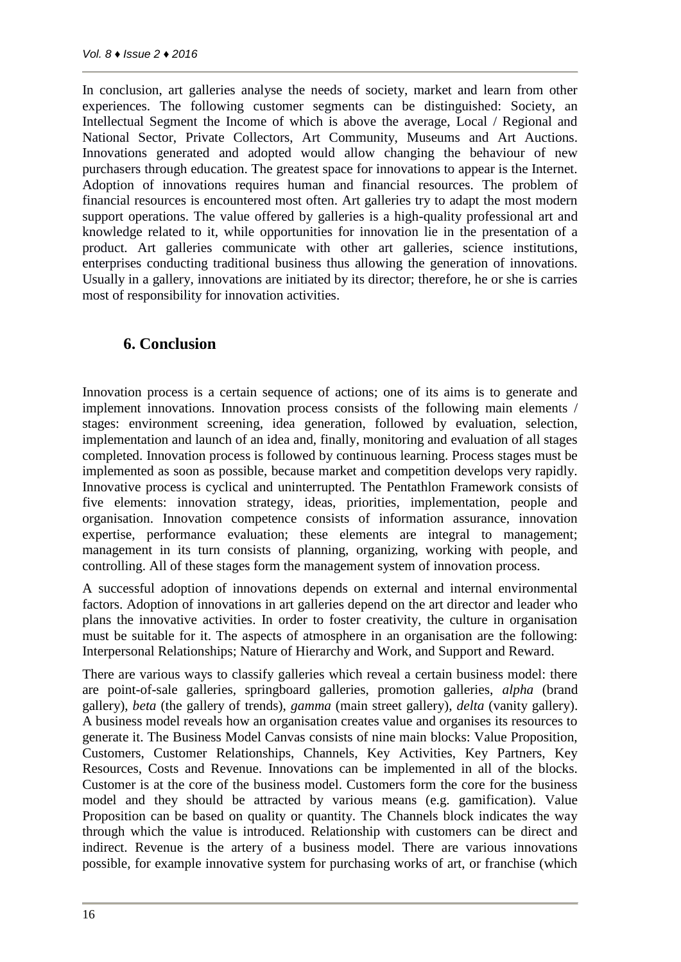In conclusion, art galleries analyse the needs of society, market and learn from other experiences. The following customer segments can be distinguished: Society, an Intellectual Segment the Income of which is above the average, Local / Regional and National Sector, Private Collectors, Art Community, Museums and Art Auctions. Innovations generated and adopted would allow changing the behaviour of new purchasers through education. The greatest space for innovations to appear is the Internet. Adoption of innovations requires human and financial resources. The problem of financial resources is encountered most often. Art galleries try to adapt the most modern support operations. The value offered by galleries is a high-quality professional art and knowledge related to it, while opportunities for innovation lie in the presentation of a product. Art galleries communicate with other art galleries, science institutions, enterprises conducting traditional business thus allowing the generation of innovations. Usually in a gallery, innovations are initiated by its director; therefore, he or she is carries most of responsibility for innovation activities.

## **6. Conclusion**

Innovation process is a certain sequence of actions; one of its aims is to generate and implement innovations. Innovation process consists of the following main elements / stages: environment screening, idea generation, followed by evaluation, selection, implementation and launch of an idea and, finally, monitoring and evaluation of all stages completed. Innovation process is followed by continuous learning. Process stages must be implemented as soon as possible, because market and competition develops very rapidly. Innovative process is cyclical and uninterrupted. The Pentathlon Framework consists of five elements: innovation strategy, ideas, priorities, implementation, people and organisation. Innovation competence consists of information assurance, innovation expertise, performance evaluation; these elements are integral to management; management in its turn consists of planning, organizing, working with people, and controlling. All of these stages form the management system of innovation process.

A successful adoption of innovations depends on external and internal environmental factors. Adoption of innovations in art galleries depend on the art director and leader who plans the innovative activities. In order to foster creativity, the culture in organisation must be suitable for it. The aspects of atmosphere in an organisation are the following: Interpersonal Relationships; Nature of Hierarchy and Work, and Support and Reward.

There are various ways to classify galleries which reveal a certain business model: there are point-of-sale galleries, springboard galleries, promotion galleries, *alpha* (brand gallery), *beta* (the gallery of trends), *gamma* (main street gallery), *delta* (vanity gallery). A business model reveals how an organisation creates value and organises its resources to generate it. The Business Model Canvas consists of nine main blocks: Value Proposition, Customers, Customer Relationships, Channels, Key Activities, Key Partners, Key Resources, Costs and Revenue. Innovations can be implemented in all of the blocks. Customer is at the core of the business model. Customers form the core for the business model and they should be attracted by various means (e.g. gamification). Value Proposition can be based on quality or quantity. The Channels block indicates the way through which the value is introduced. Relationship with customers can be direct and indirect. Revenue is the artery of a business model. There are various innovations possible, for example innovative system for purchasing works of art, or franchise (which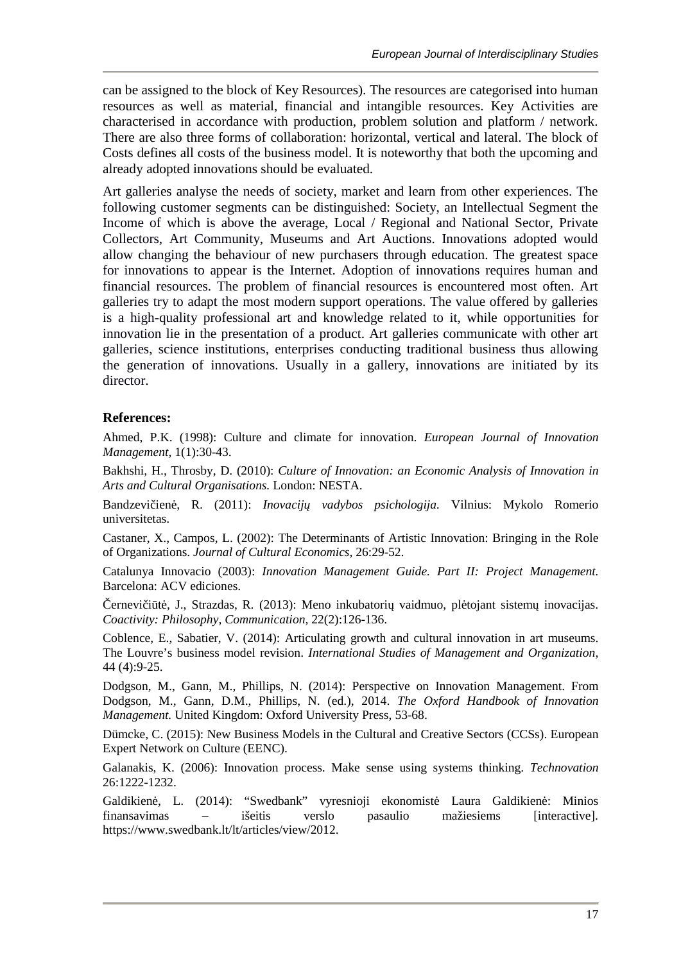can be assigned to the block of Key Resources). The resources are categorised into human resources as well as material, financial and intangible resources. Key Activities are characterised in accordance with production, problem solution and platform / network. There are also three forms of collaboration: horizontal, vertical and lateral. The block of Costs defines all costs of the business model. It is noteworthy that both the upcoming and already adopted innovations should be evaluated.

Art galleries analyse the needs of society, market and learn from other experiences. The following customer segments can be distinguished: Society, an Intellectual Segment the Income of which is above the average, Local / Regional and National Sector, Private Collectors, Art Community, Museums and Art Auctions. Innovations adopted would allow changing the behaviour of new purchasers through education. The greatest space for innovations to appear is the Internet. Adoption of innovations requires human and financial resources. The problem of financial resources is encountered most often. Art galleries try to adapt the most modern support operations. The value offered by galleries is a high-quality professional art and knowledge related to it, while opportunities for innovation lie in the presentation of a product. Art galleries communicate with other art galleries, science institutions, enterprises conducting traditional business thus allowing the generation of innovations. Usually in a gallery, innovations are initiated by its director.

### **References:**

Ahmed, P.K. (1998): Culture and climate for innovation. *European Journal of Innovation Management,* 1(1):30-43.

Bakhshi, H., Throsby, D. (2010): *Culture of Innovation: an Economic Analysis of Innovation in Arts and Cultural Organisations.* London: NESTA.

Bandzevi ien , R. (2011): *Inovacij vadybos psichologija*. Vilnius: Mykolo Romerio universitetas.

Castaner, X., Campos, L. (2002): The Determinants of Artistic Innovation: Bringing in the Role of Organizations. *Journal of Cultural Economics,* 26:29-52.

Catalunya Innovacio (2003): *Innovation Management Guide. Part II: Project Management.* Barcelona: ACV ediciones.

ernevi i t , J., Strazdas, R. (2013): Meno inkubatori vaidmuo, pl tojant sistem inovacijas. *Coactivity: Philosophy, Communication,* 22(2):126-136.

Coblence, E., Sabatier, V. (2014): Articulating growth and cultural innovation in art museums. The Louvre's business model revision. *International Studies of Management and Organization,* 44 (4):9-25.

Dodgson, M., Gann, M., Phillips, N. (2014): Perspective on Innovation Management. From Dodgson, M., Gann, D.M., Phillips, N. (ed.), 2014. *The Oxford Handbook of Innovation Management.* United Kingdom: Oxford University Press, 53-68.

Dümcke, C. (2015): New Business Models in the Cultural and Creative Sectors (CCSs). European Expert Network on Culture (EENC).

Galanakis, K. (2006): Innovation process. Make sense using systems thinking. *Technovation* 26:1222-1232.

Galdikien, L. (2014): "Swedbank" vyresnioji ekonomist Laura Galdikien : Minios finansavimas – išeitis verslo pasaulio mažiesiems [interactive]. https://www.swedbank.lt/lt/articles/view/2012.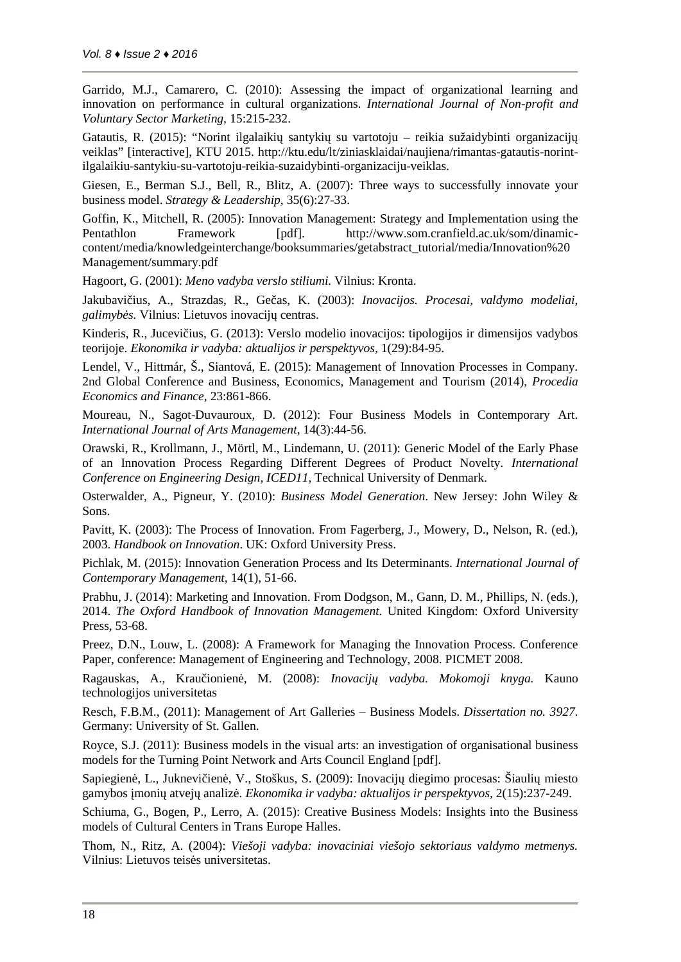Garrido, M.J., Camarero, C. (2010): Assessing the impact of organizational learning and innovation on performance in cultural organizations. *International Journal of Non-profit and Voluntary Sector Marketing,* 15:215-232.

Gatautis, R. (2015): "Norint ilgalaiki santyki su vartotoju – reikia sužaidybinti organizacij veiklas" [interactive], KTU 2015. http://ktu.edu/lt/ziniasklaidai/naujiena/rimantas-gatautis-norintilgalaikiu-santykiu-su-vartotoju-reikia-suzaidybinti-organizaciju-veiklas.

Giesen, E., Berman S.J., Bell, R., Blitz, A. (2007): Three ways to successfully innovate your business model. *Strategy & Leadership,* 35(6):27-33.

Goffin, K., Mitchell, R. (2005): Innovation Management: Strategy and Implementation using the Pentathlon Framework [pdf]. http://www.som.cranfield.ac.uk/som/dinamic content/media/knowledgeinterchange/booksummaries/getabstract\_tutorial/media/Innovation%20 Management/summary.pdf

Hagoort, G. (2001): *Meno vadyba verslo stiliumi.* Vilnius: Kronta.

Jakubavi ius, A., Strazdas, R., Ge as, K. (2003): *Inovacijos. Procesai, valdymo modeliai*, *galimybės.* Vilnius: Lietuvos inovacijų centras.

Kinderis, R., Jucevi jus, G. (2013): Verslo modelio inovacijos: tipologijos ir dimensijos vadybos teorijoje. *Ekonomika ir vadyba: aktualijos ir perspektyvos,* 1(29):84-95.

Lendel, V., Hittmár, Š., Siantová, E. (2015): Management of Innovation Processes in Company. 2nd Global Conference and Business, Economics, Management and Tourism (2014), *Procedia Economics and Finance*, 23:861-866.

Moureau, N., Sagot-Duvauroux, D. (2012): Four Business Models in Contemporary Art. *International Journal of Arts Management,* 14(3):44-56.

Orawski, R., Krollmann, J., Mörtl, M., Lindemann, U. (2011): Generic Model of the Early Phase of an Innovation Process Regarding Different Degrees of Product Novelty. *International Conference on Engineering Design, ICED11,* Technical University of Denmark.

Osterwalder, A., Pigneur, Y. (2010): *Business Model Generation*. New Jersey: John Wiley & Sons.

Pavitt, K. (2003): The Process of Innovation. From Fagerberg, J., Mowery, D., Nelson, R. (ed.), 2003. *Handbook on Innovation*. UK: Oxford University Press.

Pichlak, M. (2015): Innovation Generation Process and Its Determinants. *International Journal of Contemporary Management,* 14(1), 51-66.

Prabhu, J. (2014): Marketing and Innovation. From Dodgson, M., Gann, D. M., Phillips, N. (eds.), 2014. *The Oxford Handbook of Innovation Management.* United Kingdom: Oxford University Press, 53-68.

Preez, D.N., Louw, L. (2008): A Framework for Managing the Innovation Process. Conference Paper, conference: Management of Engineering and Technology, 2008. PICMET 2008.

Ragauskas, A., Krau ionien, M. (2008): *Inovacij vadyba. Mokomoji knyga*. Kauno technologijos universitetas

Resch, F.B.M., (2011): Management of Art Galleries – Business Models. *Dissertation no. 3927.* Germany: University of St. Gallen.

Royce, S.J. (2011): Business models in the visual arts: an investigation of organisational business models for the Turning Point Network and Arts Council England [pdf].

Sapiegien, L., Juknevi jen, V., Stoškus, S. (2009): Inovacijų diegimo procesas: Šiaulių miesto gamybos moni atvej analiz . *Ekonomika ir vadyba: aktualijos ir perspektyvos*, 2(15):237-249.

Schiuma, G., Bogen, P., Lerro, A. (2015): Creative Business Models: Insights into the Business models of Cultural Centers in Trans Europe Halles.

Thom, N., Ritz, A. (2004): *Viešoji vadyba: inovaciniai viešojo sektoriaus valdymo metmenys.* Vilnius: Lietuvos teis s universitetas.